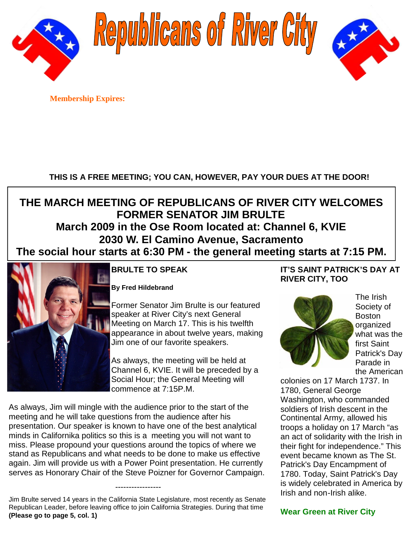

Republicans of River City



**Membership Expires:**

# **THIS IS A FREE MEETING; YOU CAN, HOWEVER, PAY YOUR DUES AT THE DOOR!**

# **THE MARCH MEETING OF REPUBLICANS OF RIVER CITY WELCOMES FORMER SENATOR JIM BRULTE March 2009 in the Ose Room located at: Channel 6, KVIE 2030 W. El Camino Avenue, Sacramento The social hour starts at 6:30 PM - the general meeting starts at 7:15 PM.**



## **BRULTE TO SPEAK**

**By Fred Hildebrand**

Former Senator Jim Brulte is our featured speaker at River City's next General Meeting on March 17. This is his twelfth appearance in about twelve years, making Jim one of our favorite speakers.

As always, the meeting will be held at Channel 6, KVIE. It will be preceded by a Social Hour; the General Meeting will commence at 7:15P.M.

As always, Jim will mingle with the audience prior to the start of the meeting and he will take questions from the audience after his presentation. Our speaker is known to have one of the best analytical minds in Californika politics so this is a meeting you will not want to miss. Please propound your questions around the topics of where we stand as Republicans and what needs to be done to make us effective again. Jim will provide us with a Power Point presentation. He currently serves as Honorary Chair of the Steve Poizner for Governor Campaign.

Jim Brulte served 14 years in the California State Legislature, most recently as Senate Republican Leader, before leaving office to join California Strategies. During that time **(Please go to page 5, col. 1)**

-----------------

## **IT'S SAINT PATRICK'S DAY AT RIVER CITY, TOO**



The Irish Society of Boston organized what was the first Saint Patrick's Day Parade in the American

colonies on 17 March 1737. In 1780, General George Washington, who commanded soldiers of Irish descent in the Continental Army, allowed his troops a holiday on 17 March "as an act of solidarity with the Irish in their fight for independence." This event became known as The St. Patrick's Day Encampment of 1780. Today, Saint Patrick's Day is widely celebrated in America by Irish and non-Irish alike.

**Wear Green at River City**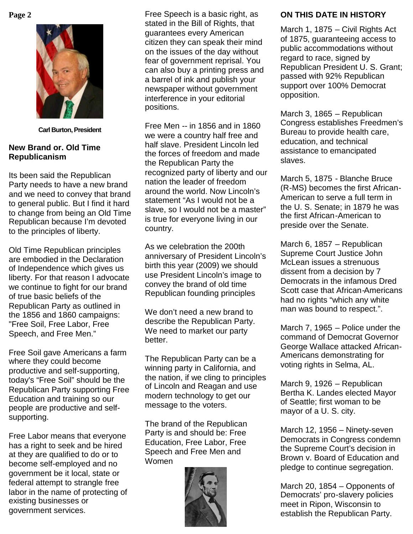

**Carl Burton, President**

### **New Brand or. Old Time Republicanism**

Its been said the Republican Party needs to have a new brand and we need to convey that brand to general public. But I find it hard to change from being an Old Time Republican because I'm devoted to the principles of liberty.

Old Time Republican principles are embodied in the Declaration of Independence which gives us liberty. For that reason I advocate we continue to fight for our brand of true basic beliefs of the Republican Party as outlined in the 1856 and 1860 campaigns: "Free Soil, Free Labor, Free Speech, and Free Men."

Free Soil gave Americans a farm where they could become productive and self-supporting, today's "Free Soil" should be the Republican Party supporting Free Education and training so our people are productive and selfsupporting.

Free Labor means that everyone has a right to seek and be hired at they are qualified to do or to become self-employed and no government be it local, state or federal attempt to strangle free labor in the name of protecting of existing businesses or government services.

**Page 2** Free Speech is a basic right, as stated in the Bill of Rights, that guarantees every American citizen they can speak their mind on the issues of the day without fear of government reprisal. You can also buy a printing press and a barrel of ink and publish your newspaper without government interference in your editorial positions.

> Free Men -- in 1856 and in 1860 we were a country half free and half slave. President Lincoln led the forces of freedom and made the Republican Party the recognized party of liberty and our nation the leader of freedom around the world. Now Lincoln's statement "As I would not be a slave, so I would not be a master" is true for everyone living in our country.

> As we celebration the 200th anniversary of President Lincoln's birth this year (2009) we should use President Lincoln's image to convey the brand of old time Republican founding principles

We don't need a new brand to describe the Republican Party. We need to market our party better.

The Republican Party can be a winning party in California, and the nation, if we cling to principles of Lincoln and Reagan and use modern technology to get our message to the voters.

The brand of the Republican Party is and should be: Free Education, Free Labor, Free Speech and Free Men and Women



## **ON THIS DATE IN HISTORY**

March 1, 1875 – Civil Rights Act of 1875, guaranteeing access to public accommodations without regard to race, signed by Republican President U. S. Grant; passed with 92% Republican support over 100% Democrat opposition.

March 3, 1865 – Republican Congress establishes Freedmen's Bureau to provide health care, education, and technical assistance to emancipated slaves.

March 5, 1875 - Blanche Bruce (R-MS) becomes the first African-American to serve a full term in the U. S. Senate; in 1879 he was the first African-American to preside over the Senate.

March 6, 1857 – Republican Supreme Court Justice John McLean issues a strenuous dissent from a decision by 7 Democrats in the infamous Dred Scott case that African-Americans had no rights "which any white man was bound to respect.".

March 7, 1965 – Police under the command of Democrat Governor George Wallace attacked African-Americans demonstrating for voting rights in Selma, AL.

March 9, 1926 – Republican Bertha K. Landes elected Mayor of Seattle; first woman to be mayor of a U. S. city.

March 12, 1956 – Ninety-seven Democrats in Congress condemn the Supreme Court's decision in Brown v. Board of Education and pledge to continue segregation.

March 20, 1854 – Opponents of Democrats' pro-slavery policies meet in Ripon, Wisconsin to establish the Republican Party.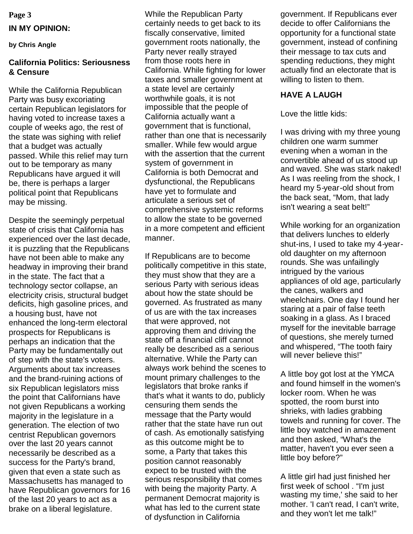# **Page 3 IN MY OPINION:**

#### **by Chris Angle**

#### **California Politics: Seriousness & Censure**

While the California Republican Party was busy excoriating certain Republican legislators for having voted to increase taxes a couple of weeks ago, the rest of the state was sighing with relief that a budget was actually passed. While this relief may turn out to be temporary as many Republicans have argued it will be, there is perhaps a larger political point that Republicans may be missing.

Despite the seemingly perpetual state of crisis that California has experienced over the last decade, it is puzzling that the Republicans have not been able to make any headway in improving their brand in the state. The fact that a technology sector collapse, an electricity crisis, structural budget deficits, high gasoline prices, and a housing bust, have not enhanced the long-term electoral prospects for Republicans is perhaps an indication that the Party may be fundamentally out of step with the state's voters. Arguments about tax increases and the brand-ruining actions of six Republican legislators miss the point that Californians have not given Republicans a working majority in the legislature in a generation. The election of two centrist Republican governors over the last 20 years cannot necessarily be described as a success for the Party's brand, given that even a state such as Massachusetts has managed to have Republican governors for 16 of the last 20 years to act as a brake on a liberal legislature.

While the Republican Party certainly needs to get back to its fiscally conservative, limited government roots nationally, the Party never really strayed from those roots here in California. While fighting for lower taxes and smaller government at a state level are certainly worthwhile goals, it is not impossible that the people of California actually want a government that is functional, rather than one that is necessarily smaller. While few would argue with the assertion that the current system of government in California is both Democrat and dysfunctional, the Republicans have yet to formulate and articulate a serious set of comprehensive systemic reforms to allow the state to be governed in a more competent and efficient manner.

If Republicans are to become politically competitive in this state, they must show that they are a serious Party with serious ideas about how the state should be governed. As frustrated as many of us are with the tax increases that were approved, not approving them and driving the state off a financial cliff cannot really be described as a serious alternative. While the Party can always work behind the scenes to mount primary challenges to the legislators that broke ranks if that's what it wants to do, publicly censuring them sends the message that the Party would rather that the state have run out of cash. As emotionally satisfying as this outcome might be to some, a Party that takes this position cannot reasonably expect to be trusted with the serious responsibility that comes with being the majority Party. A permanent Democrat majority is what has led to the current state of dysfunction in California

government. If Republicans ever decide to offer Californians the opportunity for a functional state government, instead of confining their message to tax cuts and spending reductions, they might actually find an electorate that is willing to listen to them.

#### **HAVE A LAUGH**

Love the little kids:

I was driving with my three young children one warm summer evening when a woman in the convertible ahead of us stood up and waved. She was stark naked! As I was reeling from the shock, I heard my 5-year-old shout from the back seat, "Mom, that lady isn't wearing a seat belt!"

While working for an organization that delivers lunches to elderly shut-ins, I used to take my 4-yearold daughter on my afternoon rounds. She was unfailingly intrigued by the various appliances of old age, particularly the canes, walkers and wheelchairs. One day I found her staring at a pair of false teeth soaking in a glass. As I braced myself for the inevitable barrage of questions, she merely turned and whispered, "The tooth fairy will never believe this!"

A little boy got lost at the YMCA and found himself in the women's locker room. When he was spotted, the room burst into shrieks, with ladies grabbing towels and running for cover. The little boy watched in amazement and then asked, "What's the matter, haven't you ever seen a little boy before?"

A little girl had just finished her first week of school . "I'm just wasting my time,' she said to her mother. 'I can't read, I can't write, and they won't let me talk!"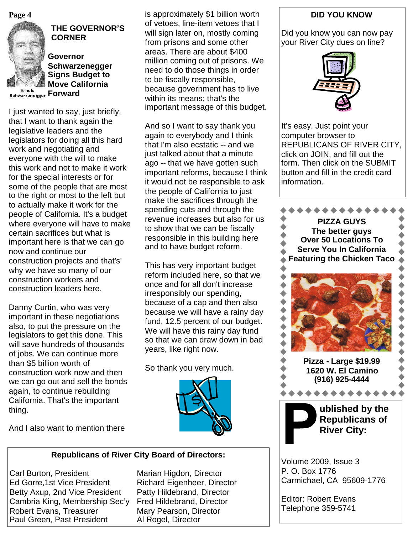**Page 4**



### **THE GOVERNOR'S CORNER**

**Governor Schwarzenegger Signs Budget to Move California Schwarzenegger Forward** 

I just wanted to say, just briefly, that I want to thank again the legislative leaders and the legislators for doing all this hard work and negotiating and everyone with the will to make this work and not to make it work for the special interests or for some of the people that are most to the right or most to the left but to actually make it work for the people of California. It's a budget where everyone will have to make certain sacrifices but what is important here is that we can go now and continue our construction projects and that's' why we have so many of our construction workers and construction leaders here.

Danny Curtin, who was very important in these negotiations also, to put the pressure on the legislators to get this done. This will save hundreds of thousands of jobs. We can continue more than \$5 billion worth of construction work now and then we can go out and sell the bonds again, to continue rebuilding California. That's the important thing.

is approximately \$1 billion worth of vetoes, line-item vetoes that I will sign later on, mostly coming from prisons and some other areas. There are about \$400 million coming out of prisons. We need to do those things in order to be fiscally responsible, because government has to live within its means; that's the important message of this budget.

And so I want to say thank you again to everybody and I think that I'm also ecstatic -- and we just talked about that a minute ago -- that we have gotten such important reforms, because I think it would not be responsible to ask the people of California to just make the sacrifices through the spending cuts and through the revenue increases but also for us to show that we can be fiscally responsible in this building here and to have budget reform.

This has very important budget reform included here, so that we once and for all don't increase irresponsibly our spending, because of a cap and then also because we will have a rainy day fund, 12.5 percent of our budget. We will have this rainy day fund so that we can draw down in bad years, like right now.

So thank you very much.



And I also want to mention there

## **Republicans of River City Board of Directors:**

Carl Burton, President Marian Higdon, Director Ed Gorre, 1st Vice President Richard Eigenheer, Director Betty Axup, 2nd Vice President Patty Hildebrand, Director Cambria King, Membership Sec'y Fred Hildebrand, Director Robert Evans, Treasurer Mary Pearson, Director Paul Green, Past President Al Rogel, Director

## **DID YOU KNOW**

Did you know you can now pay your River City dues on line?



It's easy. Just point your computer browser to REPUBLICANS OF RIVER CITY, click on JOIN, and fill out the form. Then click on the SUBMIT button and fill in the credit card information.



Volume 2009, Issue 3 P. O. Box 1776 Carmichael, CA 95609-1776

Editor: Robert Evans Telephone 359-5741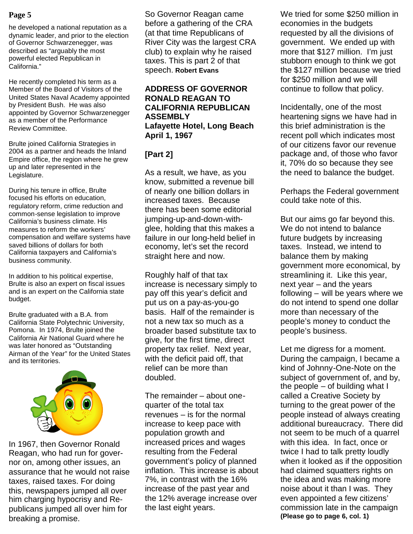he developed a national reputation as a dynamic leader, and prior to the election of Governor Schwarzenegger, was described as "arguably the most powerful elected Republican in California."

He recently completed his term as a Member of the Board of Visitors of the United States Naval Academy appointed by President Bush. He was also appointed by Governor Schwarzenegger as a member of the Performance Review Committee.

Brulte joined California Strategies in 2004 as a partner and heads the Inland Empire office, the region where he grew up and later represented in the Legislature.

During his tenure in office, Brulte focused his efforts on education, regulatory reform, crime reduction and common-sense legislation to improve California's business climate. His measures to reform the workers' compensation and welfare systems have saved billions of dollars for both California taxpayers and California's business community.

In addition to his political expertise, Brulte is also an expert on fiscal issues and is an expert on the California state budget.

Brulte graduated with a B.A. from California State Polytechnic University, Pomona. In 1974, Brulte joined the California Air National Guard where he was later honored as "Outstanding Airman of the Year" for the United States and its territories.



In 1967, then Governor Ronald Reagan, who had run for governor on, among other issues, an assurance that he would not raise taxes, raised taxes. For doing this, newspapers jumped all over him charging hypocrisy and Republicans jumped all over him for breaking a promise.

So Governor Reagan came before a gathering of the CRA (at that time Republicans of River City was the largest CRA club) to explain why he raised taxes. This is part 2 of that speech. **Robert Evans**

#### **ADDRESS OF GOVERNOR RONALD REAGAN TO CALIFORNIA REPUBLICAN ASSEMBLY Lafayette Hotel, Long Beach April 1, 1967**

# **[Part 2]**

As a result, we have, as you know, submitted a revenue bill of nearly one billion dollars in increased taxes. Because there has been some editorial jumping-up-and-down-withglee, holding that this makes a failure in our long-held belief in economy, let's set the record straight here and now.

Roughly half of that tax increase is necessary simply to pay off this year's deficit and put us on a pay-as-you-go basis. Half of the remainder is not a new tax so much as a broader based substitute tax to give, for the first time, direct property tax relief. Next year, with the deficit paid off, that relief can be more than doubled.

The remainder – about onequarter of the total tax revenues – is for the normal increase to keep pace with population growth and increased prices and wages resulting from the Federal government's policy of planned inflation. This increase is about 7%, in contrast with the 16% increase of the past year and the 12% average increase over the last eight years.

**Page 5** Network So Governor Reagan came Metried for some \$250 million in economies in the budgets requested by all the divisions of government. We ended up with more that \$127 million. I'm just stubborn enough to think we got the \$127 million because we tried for \$250 million and we will continue to follow that policy.

> Incidentally, one of the most heartening signs we have had in this brief administration is the recent poll which indicates most of our citizens favor our revenue package and, of those who favor it, 70% do so because they see the need to balance the budget.

> Perhaps the Federal government could take note of this.

But our aims go far beyond this. We do not intend to balance future budgets by increasing taxes. Instead, we intend to balance them by making government more economical, by streamlining it. Like this year, next year – and the years following – will be years where we do not intend to spend one dollar more than necessary of the people's money to conduct the people's business.

Let me digress for a moment. During the campaign, I became a kind of Johnny-One-Note on the subject of government of, and by, the people – of building what I called a Creative Society by turning to the great power of the people instead of always creating additional bureaucracy. There did not seem to be much of a quarrel with this idea. In fact, once or twice I had to talk pretty loudly when it looked as if the opposition had claimed squatters rights on the idea and was making more noise about it than I was. They even appointed a few citizens' commission late in the campaign **(Please go to page 6, col. 1)**